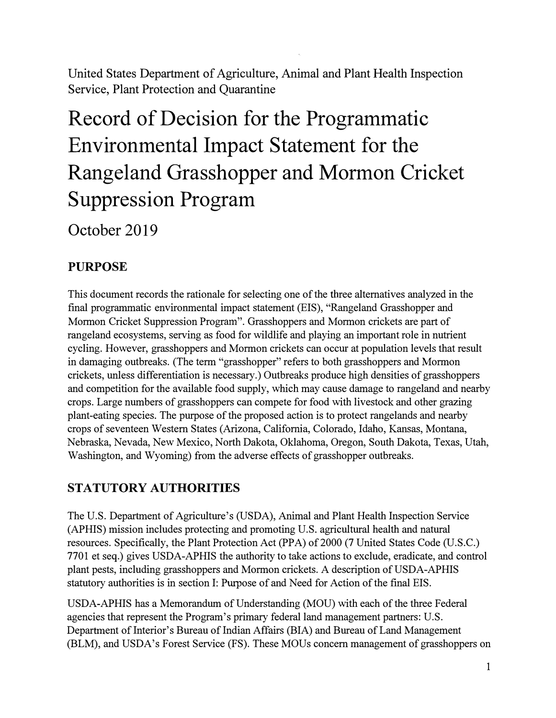United States Department of Agriculture, Animal and Plant Health Inspection Service, Plant Protection and Quarantine

# **Record of Decision for the Programmatic Environmental Impact Statement for the Rangeland Grasshopper and Mormon Cricket Suppression Program**

**October 2019** 

# **PURPOSE**

This document records the rationale for selecting one of the three alternatives analyzed in the final programmatic environmental impact statement (EIS), "Rangeland Grasshopper and Mormon Cricket Suppression Program". Grasshoppers and Mormon crickets are part of rangeland ecosystems, serving as food for wildlife and playing an important role in nutrient cycling. However, grasshoppers and Mormon crickets can occur at population levels that result in damaging outbreaks. (The term "grasshopper" refers to both grasshoppers and Mormon crickets, unless differentiation is necessary.) Outbreaks produce high densities of grasshoppers and competition for the available food supply, which may cause damage to rangeland and nearby crops. Large numbers of grasshoppers can compete for food with livestock and other grazing plant-eating species. The purpose of the proposed action is to protect rangelands and nearby crops of seventeen Western States (Arizona, California, Colorado, Idaho, Kansas, Montana, Nebraska, Nevada, New Mexico, North Dakota, Oklahoma, Oregon, South Dakota, Texas, Utah, Washington, and Wyoming) from the adverse effects of grasshopper outbreaks.

# **STATUTORY AUTHORITIES**

The U.S. Department of Agriculture's (USDA), Animal and Plant Health Inspection Service (APHIS) mission includes protecting and promoting U.S. agricultural health and natural resources. Specifically, the Plant Protection Act (PPA) of 2000 (7 United States Code (U.S.C.) 7701 et seq.) gives USDA-APHIS the authority to take actions to exclude, eradicate, and control plant pests, including grasshoppers and Mormon crickets. A description of USDA-APHIS statutory authorities is in section I: Purpose of and Need for Action of the final EIS.

USDA-APHIS has a Memorandum of Understanding (MOU) with each of the three Federal agencies that represent the Program's primary federal land management partners: U.S. Department of Interior's Bureau of Indian Affairs (BIA) and Bureau of Land Management (BLM), and USDA's Forest Service (FS). These MOUs concern management of grasshoppers on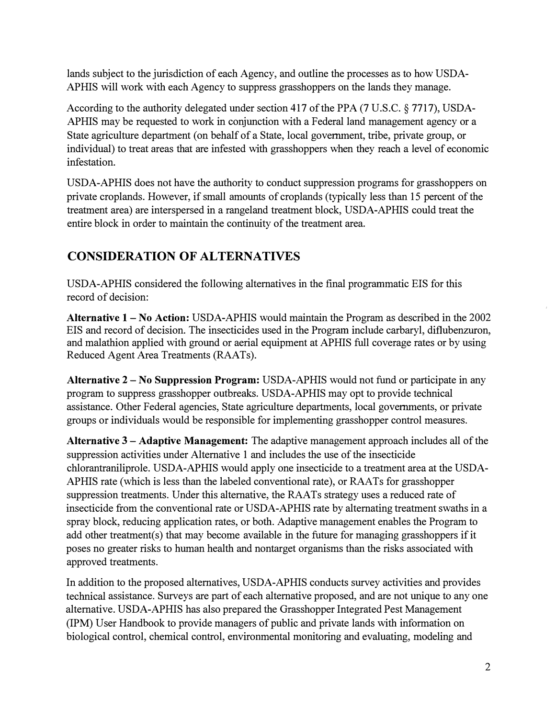lands subject to the jurisdiction of each Agency, and outline the processes as to how USDA-APHIS will work with each Agency to suppress grasshoppers on the lands they manage.

According to the authority delegated under section 417 of the PPA (7 U.S.C. § 7717), USDA-APHIS may be requested to work in conjunction with a Federal land management agency or a State agriculture department ( on behalf of a State, local government, tribe, private group, or individual) to treat areas that are infested with grasshoppers when they reach a level of economic infestation.

USDA-APHIS does not have the authority to conduct suppression programs for grasshoppers on private croplands. However, if small amounts of croplands (typically less than 15 percent of the treatment area) are interspersed in a rangeland treatment block, USDA-APHIS could treat the entire block in order to maintain the continuity of the treatment area.

# **CONSIDERATION OF ALTERNATIVES**

USDA-APHIS considered the following alternatives in the final programmatic EIS for this record of decision:

**Alternative 1** - **No Action:** USDA-APHIS would maintain the Program as described in the 2002 EIS and record of decision. The insecticides used in the Program include carbaryl, diflubenzuron, and malathion applied with ground or aerial equipment at APHIS full coverage rates or by using Reduced Agent Area Treatments (RAATs).

**Alternative 2** - **No Suppression Program:** USDA-APHIS would not fund or participate in any program to suppress grasshopper outbreaks. USDA-APHIS may opt to provide technical assistance. Other Federal agencies, State agriculture departments, local governments, or private groups or individuals would be responsible for implementing grasshopper control measures.

**Alternative 3** - **Adaptive Management:** The adaptive management approach includes all of the suppression activities under Alternative 1 and includes the use of the insecticide chlorantraniliprole. USDA-APHIS would apply one insecticide to a treatment area at the USDA-APHIS rate (which is less than the labeled conventional rate), or RAATs for grasshopper suppression treatments. Under this alternative, the RAATs strategy uses a reduced rate of insecticide from the conventional rate or USDA-APHIS rate by alternating treatment swaths in a spray block, reducing application rates, or both. Adaptive management enables the Program to add other treatment(s) that may become available in the future for managing grasshoppers if it poses no greater risks to human health and nontarget organisms than the risks associated with approved treatments.

In addition to the proposed alternatives, USDA-APHIS conducts survey activities and provides technical assistance. Surveys are part of each alternative proposed, and are not unique to any one alternative. USDA-APHIS has also prepared the Grasshopper Integrated Pest Management (IPM) User Handbook to provide managers of public and private lands with information on biological control, chemical control, environmental monitoring and evaluating, modeling and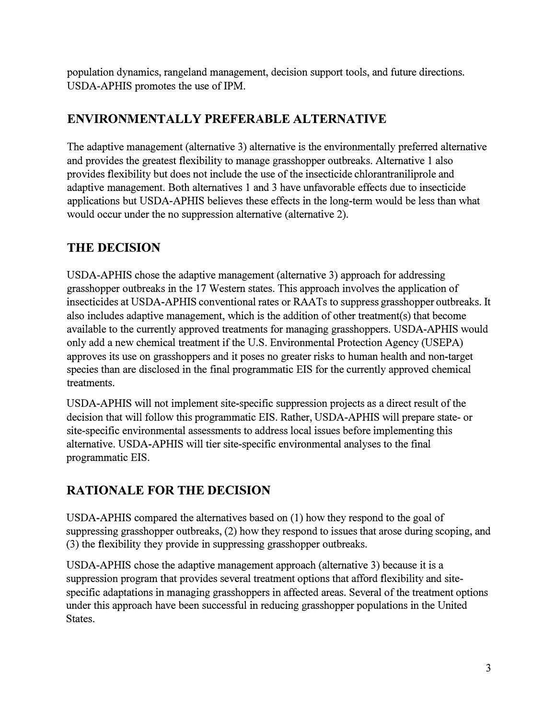population dynamics, rangeland management, decision support tools, and future directions. USDA-APHIS promotes the use of IPM.

# **ENVIRONMENTALLY PREFERABLE ALTERNATIVE**

The adaptive management (alternative 3) alternative is the environmentally preferred alternative and provides the greatest flexibility to manage grasshopper outbreaks. Alternative 1 also provides flexibility but does not include the use of the insecticide chlorantraniliprole and adaptive management. Both alternatives 1 and 3 have unfavorable effects due to insecticide applications but USDA-APHIS believes these effects in the long-term would be less than what would occur under the no suppression alternative (alternative 2).

# **THE DECISION**

USDA-APHIS chose the adaptive management (alternative 3) approach for addressing grasshopper outbreaks in the 17 Western states. This approach involves the application of insecticides at USDA-APHIS conventional rates or RAATs to suppress grasshopper outbreaks. It also includes adaptive management, which is the addition of other treatment(s) that become available to the currently approved treatments for managing grasshoppers. USDA-APHIS would only add a new chemical treatment if the U.S. Environmental Protection Agency (USEPA) approves its use on grasshoppers and it poses no greater risks to human health and non-target species than are disclosed in the final programmatic EIS for the currently approved chemical treatments.

USDA-APHIS will not implement site-specific suppression projects as a direct result of the decision that will follow this programmatic EIS. Rather, USDA-APHIS will prepare state- or site-specific environmental assessments to address local issues before implementing this alternative. USDA-APHIS will tier site-specific environmental analyses to the final programmatic EIS.

# **RATIONALE FOR THE DECISION**

USDA-APHIS compared the alternatives based on (1) how they respond to the goal of suppressing grasshopper outbreaks, (2) how they respond to issues that arose during scoping, and (3) the flexibility they provide in suppressing grasshopper outbreaks.

USDA-APHIS chose the adaptive management approach (alternative 3) because it is a suppression program that provides several treatment options that afford flexibility and sitespecific adaptations in managing grasshoppers in affected areas. Several of the treatment options under this approach have been successful in reducing grasshopper populations in the United States.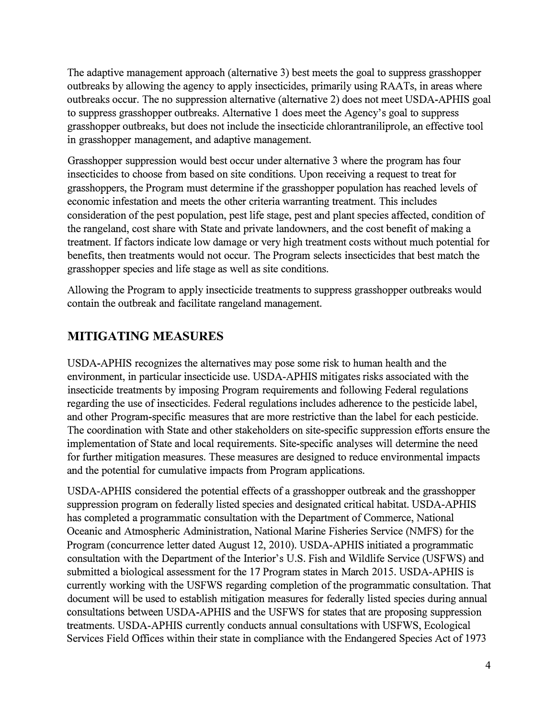The adaptive management approach (alternative 3) best meets the goal to suppress grasshopper outbreaks by allowing the agency to apply insecticides, primarily using RAA Ts, in areas where outbreaks occur. The no suppression alternative (alternative 2) does not meet USDA-APHIS goal to suppress grasshopper outbreaks. Alternative 1 does meet the Agency's goal to suppress grasshopper outbreaks, but does not include the insecticide chlorantraniliprole, an effective tool in grasshopper management, and adaptive management.

Grasshopper suppression would best occur under alternative 3 where the program has four insecticides to choose from based on site conditions. Upon receiving a request to treat for grasshoppers, the Program must determine if the grasshopper population has reached levels of economic infestation and meets the other criteria warranting treatment. This includes consideration of the pest population, pest life stage, pest and plant species affected, condition of the rangeland, cost share with State and private landowners, and the cost benefit of making a treatment. If factors indicate low damage or very high treatment costs without much potential for benefits, then treatments would not occur. The Program selects insecticides that best match the grasshopper species and life stage as well as site conditions.

Allowing the Program to apply insecticide treatments to suppress grasshopper outbreaks would contain the outbreak and facilitate rangeland management.

#### **MITIGATING MEASURES**

USDA-APHIS recognizes the alternatives may pose some risk to human health and the environment, in particular insecticide use. USDA-APHIS mitigates risks associated with the insecticide treatments by imposing Program requirements and following Federal regulations regarding the use of insecticides. Federal regulations includes adherence to the pesticide label, and other Program-specific measures that are more restrictive than the label for each pesticide. The coordination with State and other stakeholders on site-specific suppression efforts ensure the implementation of State and local requirements. Site-specific analyses will determine the need for further mitigation measures. These measures are designed to reduce environmental impacts and the potential for cumulative impacts from Program applications.

USDA-APHIS considered the potential effects of a grasshopper outbreak and the grasshopper suppression program on federally listed species and designated critical habitat. USDA-APHIS has completed a programmatic consultation with the Department of Commerce, National Oceanic and Atmospheric Administration, National Marine Fisheries Service (NMFS) for the Program (concurrence letter dated August 12, 2010). USDA-APHIS initiated a programmatic consultation with the Department of the Interior's U.S. Fish and Wildlife Service (USFWS) and submitted a biological assessment for the 17 Program states in March 2015. USDA-APHIS is currently working with the USFWS regarding completion of the programmatic consultation. That document will be used to establish mitigation measures for federally listed species during annual consultations between USDA-APHIS and the USFWS for states that are proposing suppression treatments. USDA-APHIS currently conducts annual consultations with USFWS, Ecological Services Field Offices within their state in compliance with the Endangered Species Act of 1973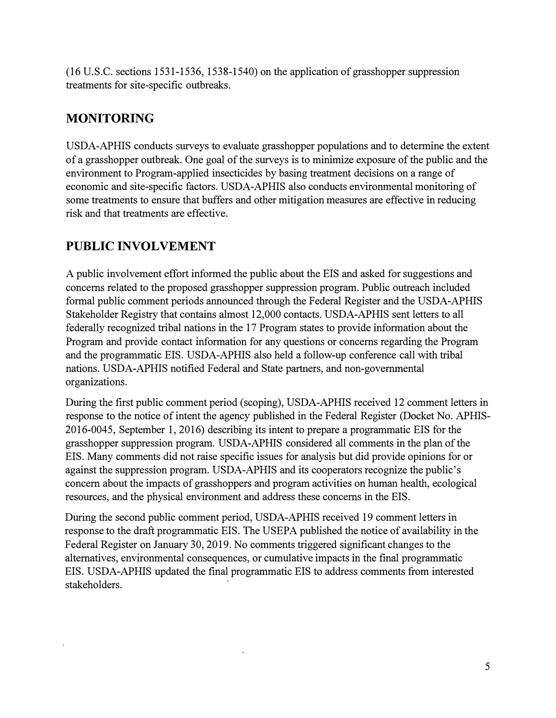(16 U.S.C. sections 1531-1536, 1538-1540) on the application of grasshopper suppression treatments for site-specific outbreaks.

## **MONITORING**

USDA-APHIS conducts surveys to evaluate grasshopper populations and to determine the extent of a grasshopper outbreak. One goal of the surveys is to minimize exposure of the public and the environment to Program-applied insecticides by basing treatment decisions on a range of economic and site-specific factors. USDA-APHIS also conducts environmental monitoring of some treatments to ensure that buffers and other mitigation measures are effective in reducing risk and that treatments are effective.

### **PUBLIC INVOLVEMENT**

A public involvement effort informed the public about the EIS and asked for suggestions and concerns related to the proposed grasshopper suppression program. Public outreach included formal public comment periods announced through the Federal Register and the USDA-APHIS Stakeholder Registry that contains almost 12,000 contacts. USDA-APHIS sent letters to all federally recognized tribal nations in the 17 Program states to provide information about the Program and provide contact information for any questions or concerns regarding the Program and the programmatic EIS. USDA-APHIS also held a follow-up conference call with tribal nations. USDA-APHIS notified Federal and State partners, and non-governmental organizations.

During the first public comment period (scoping), USDA-APHIS received 12 comment letters in response to the notice of intent the agency published in the Federal Register (Docket No. APHIS-2016-0045, September 1, 2016) describing its intent to prepare a programmatic EIS for the grasshopper suppression program. USDA-APHIS considered all comments in the plan of the EIS. Many comments did not raise specific issues for analysis but did provide opinions for or against the suppression program. USDA-APHIS and its cooperators recognize the public's concern about the impacts of grasshoppers and program activities on human health, ecological resources, and the physical environment and address these concerns in the EIS.

During the second public comment period, USDA-APHIS received 19 comment letters in response to the draft programmatic EIS. The USEPA published the notice of availability in the Federal Register on January 30, 2019. No comments triggered significant changes to the alternatives, environmental consequences, or cumulative impacts in the final programmatic EIS. USDA-APHIS updated the final programmatic EIS to address comments from interested stakeholders.